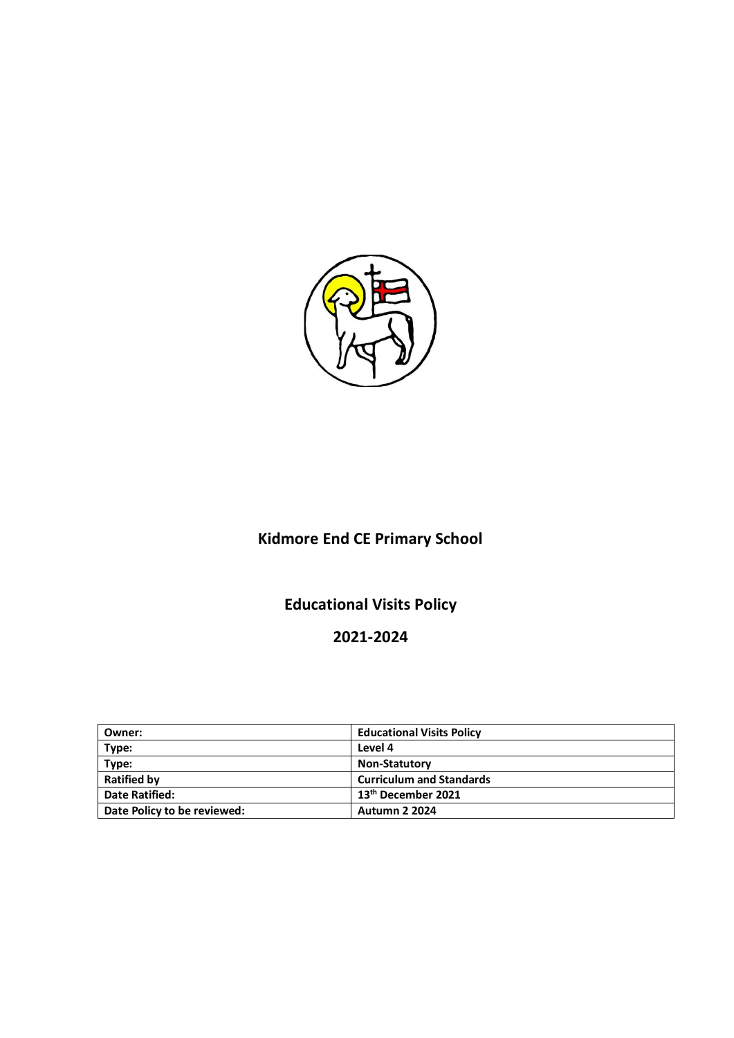

# **Kidmore End CE Primary School**

## **Educational Visits Policy**

## **2021-2024**

| Owner:                      | <b>Educational Visits Policy</b> |  |
|-----------------------------|----------------------------------|--|
| Type:                       | Level 4                          |  |
| Type:                       | <b>Non-Statutory</b>             |  |
| <b>Ratified by</b>          | <b>Curriculum and Standards</b>  |  |
| <b>Date Ratified:</b>       | 13 <sup>th</sup> December 2021   |  |
| Date Policy to be reviewed: | <b>Autumn 2 2024</b>             |  |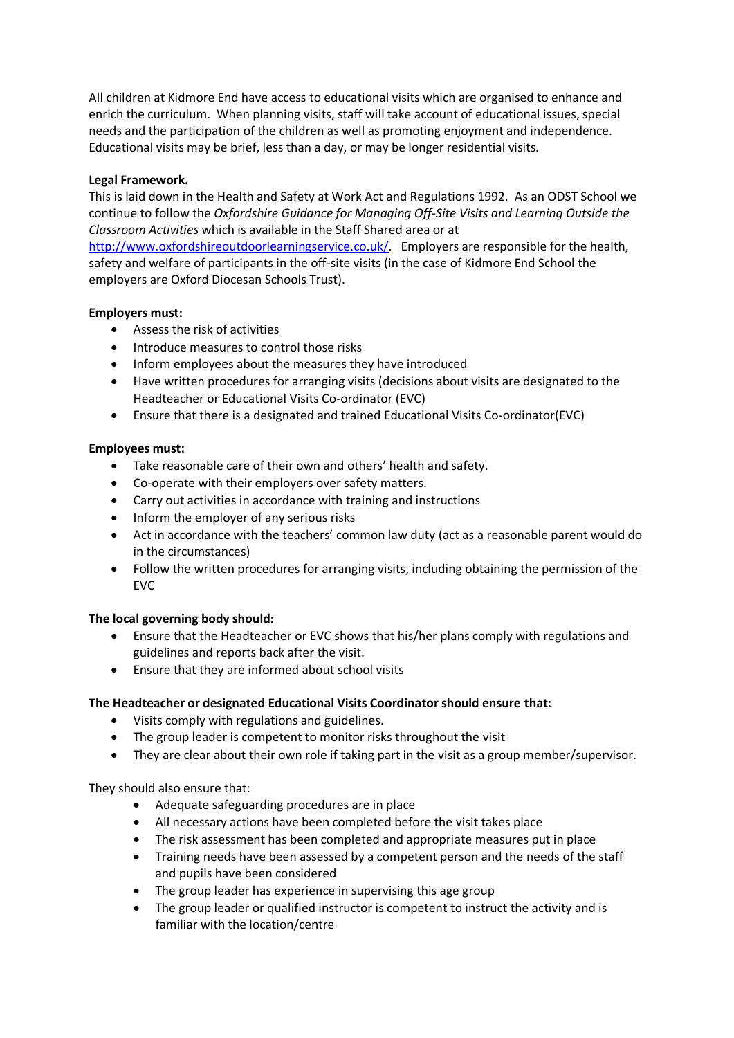All children at Kidmore End have access to educational visits which are organised to enhance and enrich the curriculum. When planning visits, staff will take account of educational issues, special needs and the participation of the children as well as promoting enjoyment and independence. Educational visits may be brief, less than a day, or may be longer residential visits.

## **Legal Framework.**

This is laid down in the Health and Safety at Work Act and Regulations 1992. As an ODST School we continue to follow the *Oxfordshire Guidance for Managing Off-Site Visits and Learning Outside the Classroom Activities* which is available in the Staff Shared area or at [http://www.oxfordshireoutdoorlearningservice.co.uk/.](http://www.oxfordshireoutdoorlearningservice.co.uk/) Employers are responsible for the health, safety and welfare of participants in the off-site visits (in the case of Kidmore End School the employers are Oxford Diocesan Schools Trust).

## **Employers must:**

- Assess the risk of activities
- Introduce measures to control those risks
- Inform employees about the measures they have introduced
- Have written procedures for arranging visits (decisions about visits are designated to the Headteacher or Educational Visits Co-ordinator (EVC)
- Ensure that there is a designated and trained Educational Visits Co-ordinator(EVC)

## **Employees must:**

- Take reasonable care of their own and others' health and safety.
- Co-operate with their employers over safety matters.
- Carry out activities in accordance with training and instructions
- Inform the employer of any serious risks
- Act in accordance with the teachers' common law duty (act as a reasonable parent would do in the circumstances)
- Follow the written procedures for arranging visits, including obtaining the permission of the EVC

## **The local governing body should:**

- Ensure that the Headteacher or EVC shows that his/her plans comply with regulations and guidelines and reports back after the visit.
- Ensure that they are informed about school visits

## **The Headteacher or designated Educational Visits Coordinator should ensure that:**

- Visits comply with regulations and guidelines.
- The group leader is competent to monitor risks throughout the visit
- They are clear about their own role if taking part in the visit as a group member/supervisor.

### They should also ensure that:

- Adequate safeguarding procedures are in place
- All necessary actions have been completed before the visit takes place
- The risk assessment has been completed and appropriate measures put in place
- Training needs have been assessed by a competent person and the needs of the staff and pupils have been considered
- The group leader has experience in supervising this age group
- The group leader or qualified instructor is competent to instruct the activity and is familiar with the location/centre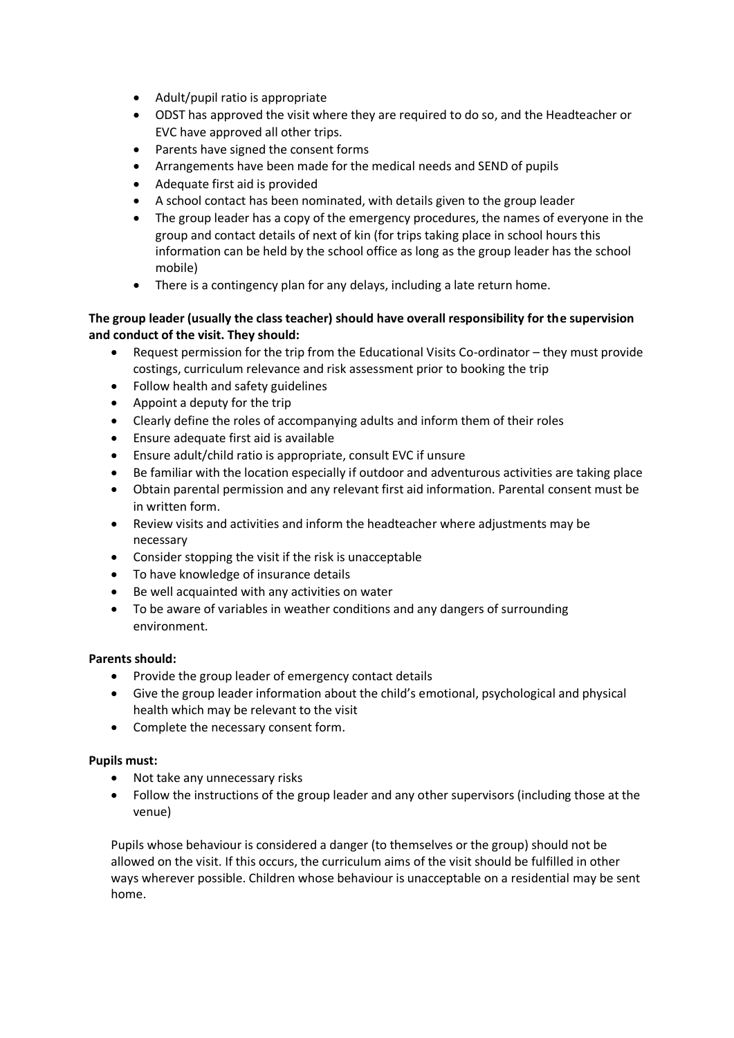- Adult/pupil ratio is appropriate
- ODST has approved the visit where they are required to do so, and the Headteacher or EVC have approved all other trips.
- Parents have signed the consent forms
- Arrangements have been made for the medical needs and SEND of pupils
- Adequate first aid is provided
- A school contact has been nominated, with details given to the group leader
- The group leader has a copy of the emergency procedures, the names of everyone in the group and contact details of next of kin (for trips taking place in school hours this information can be held by the school office as long as the group leader has the school mobile)
- There is a contingency plan for any delays, including a late return home.

## **The group leader (usually the class teacher) should have overall responsibility for the supervision and conduct of the visit. They should:**

- Request permission for the trip from the Educational Visits Co-ordinator they must provide costings, curriculum relevance and risk assessment prior to booking the trip
- Follow health and safety guidelines
- Appoint a deputy for the trip
- Clearly define the roles of accompanying adults and inform them of their roles
- Ensure adequate first aid is available
- Ensure adult/child ratio is appropriate, consult EVC if unsure
- Be familiar with the location especially if outdoor and adventurous activities are taking place
- Obtain parental permission and any relevant first aid information. Parental consent must be in written form.
- Review visits and activities and inform the headteacher where adjustments may be necessary
- Consider stopping the visit if the risk is unacceptable
- To have knowledge of insurance details
- Be well acquainted with any activities on water
- To be aware of variables in weather conditions and any dangers of surrounding environment.

## **Parents should:**

- Provide the group leader of emergency contact details
- Give the group leader information about the child's emotional, psychological and physical health which may be relevant to the visit
- Complete the necessary consent form.

## **Pupils must:**

- Not take any unnecessary risks
- Follow the instructions of the group leader and any other supervisors (including those at the venue)

Pupils whose behaviour is considered a danger (to themselves or the group) should not be allowed on the visit. If this occurs, the curriculum aims of the visit should be fulfilled in other ways wherever possible. Children whose behaviour is unacceptable on a residential may be sent home.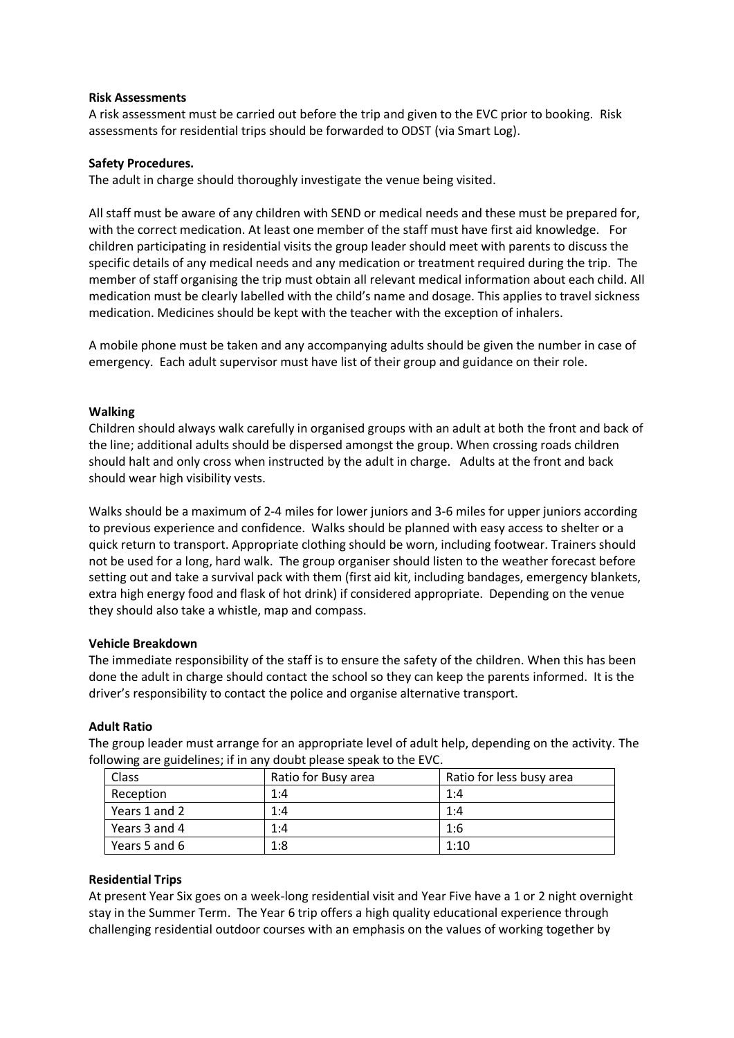#### **Risk Assessments**

A risk assessment must be carried out before the trip and given to the EVC prior to booking. Risk assessments for residential trips should be forwarded to ODST (via Smart Log).

#### **Safety Procedures.**

The adult in charge should thoroughly investigate the venue being visited.

All staff must be aware of any children with SEND or medical needs and these must be prepared for, with the correct medication. At least one member of the staff must have first aid knowledge. For children participating in residential visits the group leader should meet with parents to discuss the specific details of any medical needs and any medication or treatment required during the trip. The member of staff organising the trip must obtain all relevant medical information about each child. All medication must be clearly labelled with the child's name and dosage. This applies to travel sickness medication. Medicines should be kept with the teacher with the exception of inhalers.

A mobile phone must be taken and any accompanying adults should be given the number in case of emergency. Each adult supervisor must have list of their group and guidance on their role.

### **Walking**

Children should always walk carefully in organised groups with an adult at both the front and back of the line; additional adults should be dispersed amongst the group. When crossing roads children should halt and only cross when instructed by the adult in charge. Adults at the front and back should wear high visibility vests.

Walks should be a maximum of 2-4 miles for lower juniors and 3-6 miles for upper juniors according to previous experience and confidence. Walks should be planned with easy access to shelter or a quick return to transport. Appropriate clothing should be worn, including footwear. Trainers should not be used for a long, hard walk. The group organiser should listen to the weather forecast before setting out and take a survival pack with them (first aid kit, including bandages, emergency blankets, extra high energy food and flask of hot drink) if considered appropriate. Depending on the venue they should also take a whistle, map and compass.

#### **Vehicle Breakdown**

The immediate responsibility of the staff is to ensure the safety of the children. When this has been done the adult in charge should contact the school so they can keep the parents informed. It is the driver's responsibility to contact the police and organise alternative transport.

#### **Adult Ratio**

The group leader must arrange for an appropriate level of adult help, depending on the activity. The following are guidelines; if in any doubt please speak to the EVC.

| Class         | Ratio for Busy area | Ratio for less busy area |
|---------------|---------------------|--------------------------|
| Reception     | 1:4                 | 1:4                      |
| Years 1 and 2 | 1:4                 | 1:4                      |
| Years 3 and 4 | 1:4                 | 1:6                      |
| Years 5 and 6 | 1:8                 | 1:10                     |

### **Residential Trips**

At present Year Six goes on a week-long residential visit and Year Five have a 1 or 2 night overnight stay in the Summer Term. The Year 6 trip offers a high quality educational experience through challenging residential outdoor courses with an emphasis on the values of working together by